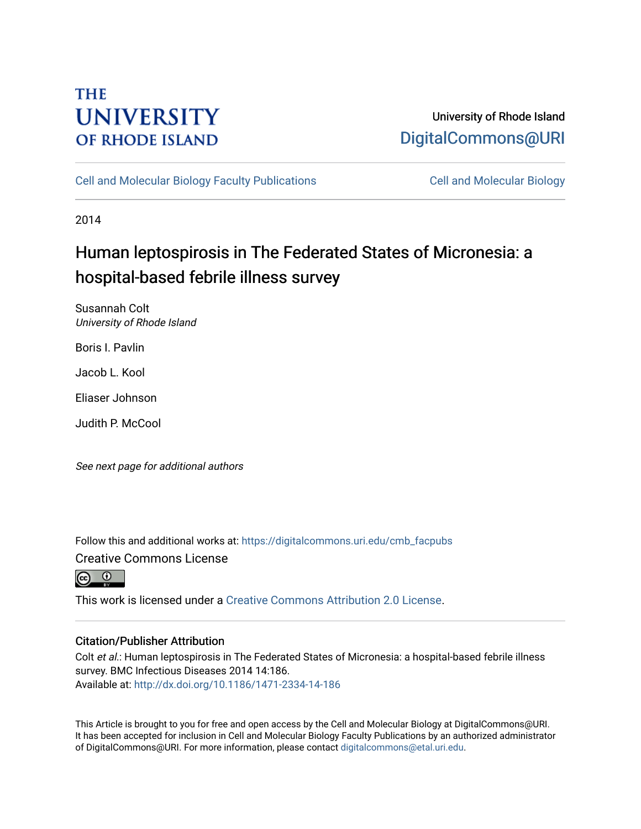# **THE UNIVERSITY OF RHODE ISLAND**

## University of Rhode Island [DigitalCommons@URI](https://digitalcommons.uri.edu/)

[Cell and Molecular Biology Faculty Publications](https://digitalcommons.uri.edu/cmb_facpubs) [Cell and Molecular Biology](https://digitalcommons.uri.edu/cmb) 

2014

# Human leptospirosis in The Federated States of Micronesia: a hospital-based febrile illness survey

Susannah Colt University of Rhode Island

Boris I. Pavlin

Jacob L. Kool

Eliaser Johnson

Judith P. McCool

See next page for additional authors

Follow this and additional works at: [https://digitalcommons.uri.edu/cmb\\_facpubs](https://digitalcommons.uri.edu/cmb_facpubs?utm_source=digitalcommons.uri.edu%2Fcmb_facpubs%2F80&utm_medium=PDF&utm_campaign=PDFCoverPages)  Creative Commons License



This work is licensed under a [Creative Commons Attribution 2.0 License](https://creativecommons.org/licenses/by/2.0/).

### Citation/Publisher Attribution

Colt et al.: Human leptospirosis in The Federated States of Micronesia: a hospital-based febrile illness survey. BMC Infectious Diseases 2014 14:186. Available at:<http://dx.doi.org/10.1186/1471-2334-14-186>

This Article is brought to you for free and open access by the Cell and Molecular Biology at DigitalCommons@URI. It has been accepted for inclusion in Cell and Molecular Biology Faculty Publications by an authorized administrator of DigitalCommons@URI. For more information, please contact [digitalcommons@etal.uri.edu](mailto:digitalcommons@etal.uri.edu).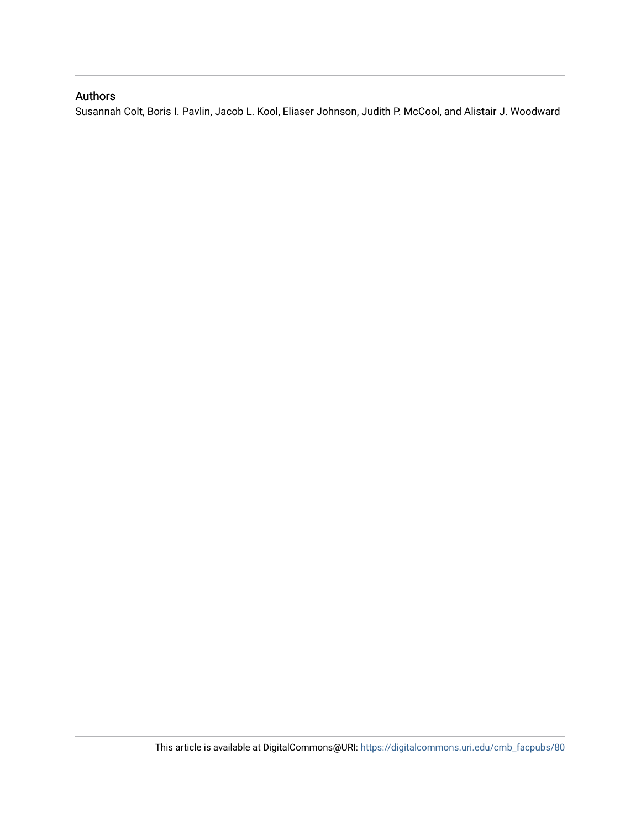## Authors

Susannah Colt, Boris I. Pavlin, Jacob L. Kool, Eliaser Johnson, Judith P. McCool, and Alistair J. Woodward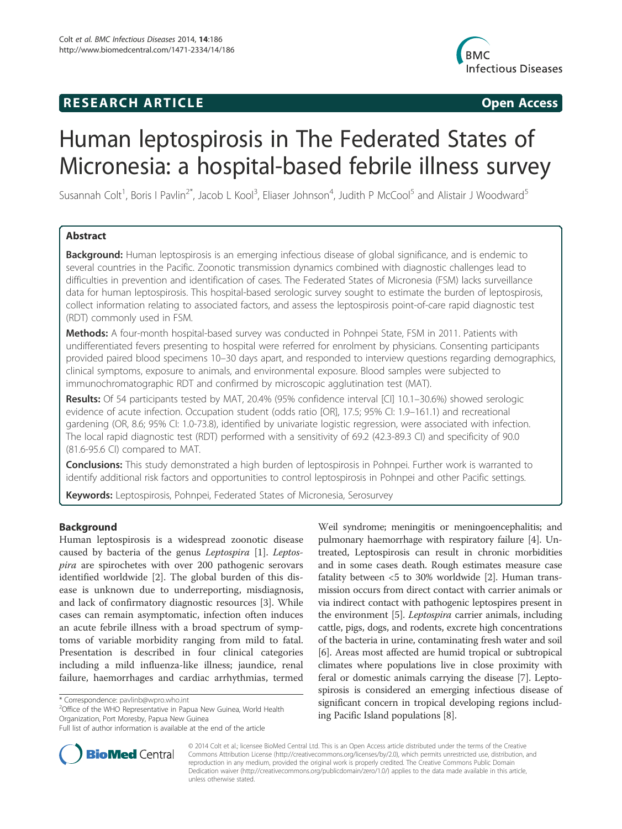## **RESEARCH ARTICLE Example 2018 12:00 Open Access**



# Human leptospirosis in The Federated States of Micronesia: a hospital-based febrile illness survey

Susannah Colt<sup>1</sup>, Boris I Pavlin<sup>2\*</sup>, Jacob L Kool<sup>3</sup>, Eliaser Johnson<sup>4</sup>, Judith P McCool<sup>5</sup> and Alistair J Woodward<sup>5</sup>

#### Abstract

Background: Human leptospirosis is an emerging infectious disease of global significance, and is endemic to several countries in the Pacific. Zoonotic transmission dynamics combined with diagnostic challenges lead to difficulties in prevention and identification of cases. The Federated States of Micronesia (FSM) lacks surveillance data for human leptospirosis. This hospital-based serologic survey sought to estimate the burden of leptospirosis, collect information relating to associated factors, and assess the leptospirosis point-of-care rapid diagnostic test (RDT) commonly used in FSM.

Methods: A four-month hospital-based survey was conducted in Pohnpei State, FSM in 2011. Patients with undifferentiated fevers presenting to hospital were referred for enrolment by physicians. Consenting participants provided paired blood specimens 10–30 days apart, and responded to interview questions regarding demographics, clinical symptoms, exposure to animals, and environmental exposure. Blood samples were subjected to immunochromatographic RDT and confirmed by microscopic agglutination test (MAT).

Results: Of 54 participants tested by MAT, 20.4% (95% confidence interval [CI] 10.1–30.6%) showed serologic evidence of acute infection. Occupation student (odds ratio [OR], 17.5; 95% CI: 1.9–161.1) and recreational gardening (OR, 8.6; 95% CI: 1.0-73.8), identified by univariate logistic regression, were associated with infection. The local rapid diagnostic test (RDT) performed with a sensitivity of 69.2 (42.3-89.3 CI) and specificity of 90.0 (81.6-95.6 CI) compared to MAT.

Conclusions: This study demonstrated a high burden of leptospirosis in Pohnpei. Further work is warranted to identify additional risk factors and opportunities to control leptospirosis in Pohnpei and other Pacific settings.

Keywords: Leptospirosis, Pohnpei, Federated States of Micronesia, Serosurvey

#### Background

Human leptospirosis is a widespread zoonotic disease caused by bacteria of the genus Leptospira [1]. Leptospira are spirochetes with over 200 pathogenic serovars identified worldwide [2]. The global burden of this disease is unknown due to underreporting, misdiagnosis, and lack of confirmatory diagnostic resources [3]. While cases can remain asymptomatic, infection often induces an acute febrile illness with a broad spectrum of symptoms of variable morbidity ranging from mild to fatal. Presentation is described in four clinical categories including a mild influenza-like illness; jaundice, renal failure, haemorrhages and cardiac arrhythmias, termed

<sup>2</sup>Office of the WHO Representative in Papua New Guinea, World Health Organization, Port Moresby, Papua New Guinea

Weil syndrome; meningitis or meningoencephalitis; and pulmonary haemorrhage with respiratory failure [4]. Untreated, Leptospirosis can result in chronic morbidities and in some cases death. Rough estimates measure case fatality between <5 to 30% worldwide [2]. Human transmission occurs from direct contact with carrier animals or via indirect contact with pathogenic leptospires present in the environment [5]. Leptospira carrier animals, including cattle, pigs, dogs, and rodents, excrete high concentrations of the bacteria in urine, contaminating fresh water and soil [6]. Areas most affected are humid tropical or subtropical climates where populations live in close proximity with feral or domestic animals carrying the disease [7]. Leptospirosis is considered an emerging infectious disease of significant concern in tropical developing regions including Pacific Island populations [8].



© 2014 Colt et al.; licensee BioMed Central Ltd. This is an Open Access article distributed under the terms of the Creative Commons Attribution License (http://creativecommons.org/licenses/by/2.0), which permits unrestricted use, distribution, and reproduction in any medium, provided the original work is properly credited. The Creative Commons Public Domain Dedication waiver (http://creativecommons.org/publicdomain/zero/1.0/) applies to the data made available in this article, unless otherwise stated.

<sup>\*</sup> Correspondence: pavlinb@wpro.who.int <sup>2</sup>

Full list of author information is available at the end of the article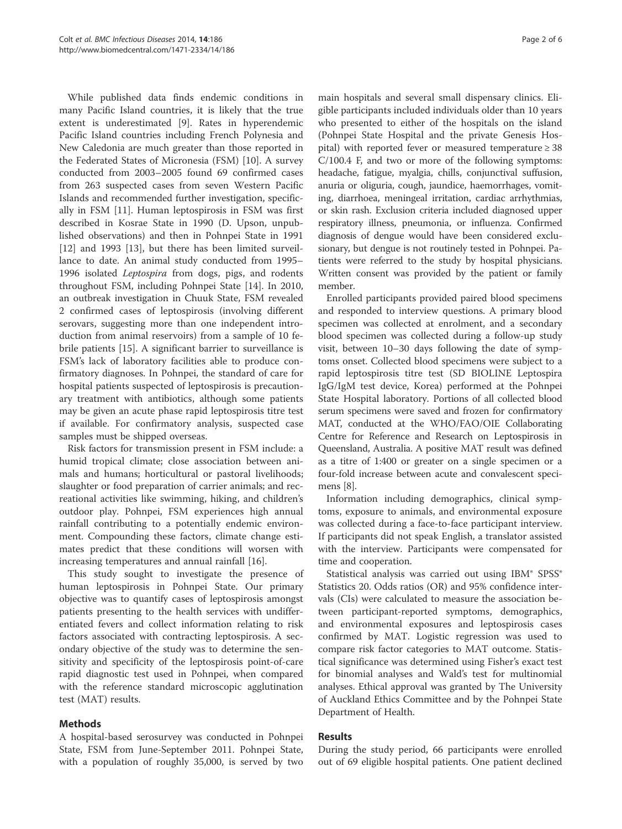While published data finds endemic conditions in many Pacific Island countries, it is likely that the true extent is underestimated [9]. Rates in hyperendemic Pacific Island countries including French Polynesia and New Caledonia are much greater than those reported in the Federated States of Micronesia (FSM) [10]. A survey conducted from 2003–2005 found 69 confirmed cases from 263 suspected cases from seven Western Pacific Islands and recommended further investigation, specifically in FSM [11]. Human leptospirosis in FSM was first described in Kosrae State in 1990 (D. Upson, unpublished observations) and then in Pohnpei State in 1991 [12] and 1993 [13], but there has been limited surveillance to date. An animal study conducted from 1995– 1996 isolated Leptospira from dogs, pigs, and rodents throughout FSM, including Pohnpei State [14]. In 2010, an outbreak investigation in Chuuk State, FSM revealed 2 confirmed cases of leptospirosis (involving different serovars, suggesting more than one independent introduction from animal reservoirs) from a sample of 10 febrile patients [15]. A significant barrier to surveillance is FSM's lack of laboratory facilities able to produce confirmatory diagnoses. In Pohnpei, the standard of care for hospital patients suspected of leptospirosis is precautionary treatment with antibiotics, although some patients may be given an acute phase rapid leptospirosis titre test if available. For confirmatory analysis, suspected case samples must be shipped overseas.

Risk factors for transmission present in FSM include: a humid tropical climate; close association between animals and humans; horticultural or pastoral livelihoods; slaughter or food preparation of carrier animals; and recreational activities like swimming, hiking, and children's outdoor play. Pohnpei, FSM experiences high annual rainfall contributing to a potentially endemic environment. Compounding these factors, climate change estimates predict that these conditions will worsen with increasing temperatures and annual rainfall [16].

This study sought to investigate the presence of human leptospirosis in Pohnpei State. Our primary objective was to quantify cases of leptospirosis amongst patients presenting to the health services with undifferentiated fevers and collect information relating to risk factors associated with contracting leptospirosis. A secondary objective of the study was to determine the sensitivity and specificity of the leptospirosis point-of-care rapid diagnostic test used in Pohnpei, when compared with the reference standard microscopic agglutination test (MAT) results.

#### Methods

A hospital-based serosurvey was conducted in Pohnpei State, FSM from June-September 2011. Pohnpei State, with a population of roughly 35,000, is served by two

main hospitals and several small dispensary clinics. Eligible participants included individuals older than 10 years who presented to either of the hospitals on the island (Pohnpei State Hospital and the private Genesis Hospital) with reported fever or measured temperature  $\geq 38$ C/100.4 F, and two or more of the following symptoms: headache, fatigue, myalgia, chills, conjunctival suffusion, anuria or oliguria, cough, jaundice, haemorrhages, vomiting, diarrhoea, meningeal irritation, cardiac arrhythmias, or skin rash. Exclusion criteria included diagnosed upper respiratory illness, pneumonia, or influenza. Confirmed diagnosis of dengue would have been considered exclusionary, but dengue is not routinely tested in Pohnpei. Patients were referred to the study by hospital physicians. Written consent was provided by the patient or family member.

Enrolled participants provided paired blood specimens and responded to interview questions. A primary blood specimen was collected at enrolment, and a secondary blood specimen was collected during a follow-up study visit, between 10–30 days following the date of symptoms onset. Collected blood specimens were subject to a rapid leptospirosis titre test (SD BIOLINE Leptospira IgG/IgM test device, Korea) performed at the Pohnpei State Hospital laboratory. Portions of all collected blood serum specimens were saved and frozen for confirmatory MAT, conducted at the WHO/FAO/OIE Collaborating Centre for Reference and Research on Leptospirosis in Queensland, Australia. A positive MAT result was defined as a titre of 1:400 or greater on a single specimen or a four-fold increase between acute and convalescent specimens [8].

Information including demographics, clinical symptoms, exposure to animals, and environmental exposure was collected during a face-to-face participant interview. If participants did not speak English, a translator assisted with the interview. Participants were compensated for time and cooperation.

Statistical analysis was carried out using IBM® SPSS® Statistics 20. Odds ratios (OR) and 95% confidence intervals (CIs) were calculated to measure the association between participant-reported symptoms, demographics, and environmental exposures and leptospirosis cases confirmed by MAT. Logistic regression was used to compare risk factor categories to MAT outcome. Statistical significance was determined using Fisher's exact test for binomial analyses and Wald's test for multinomial analyses. Ethical approval was granted by The University of Auckland Ethics Committee and by the Pohnpei State Department of Health.

#### Results

During the study period, 66 participants were enrolled out of 69 eligible hospital patients. One patient declined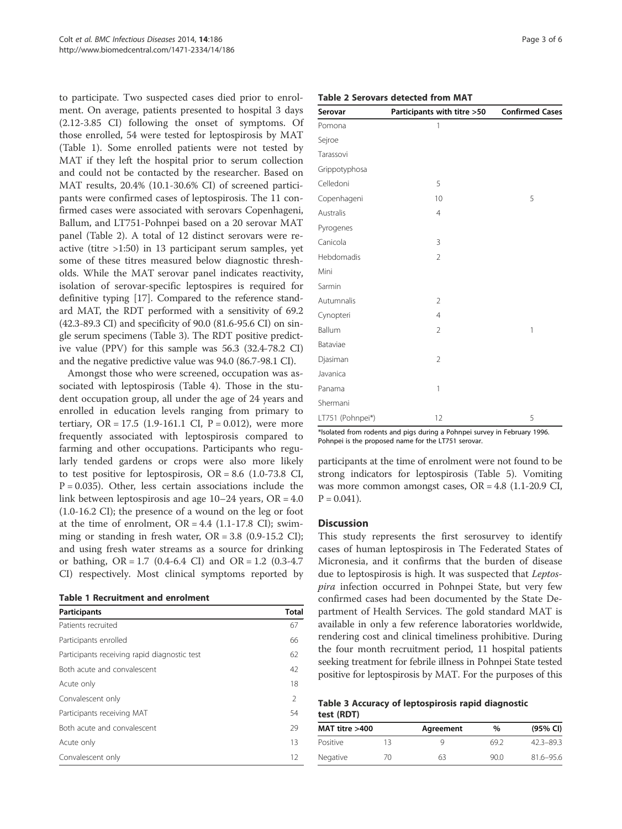to participate. Two suspected cases died prior to enrolment. On average, patients presented to hospital 3 days (2.12-3.85 CI) following the onset of symptoms. Of those enrolled, 54 were tested for leptospirosis by MAT (Table 1). Some enrolled patients were not tested by MAT if they left the hospital prior to serum collection and could not be contacted by the researcher. Based on MAT results, 20.4% (10.1-30.6% CI) of screened participants were confirmed cases of leptospirosis. The 11 confirmed cases were associated with serovars Copenhageni, Ballum, and LT751-Pohnpei based on a 20 serovar MAT panel (Table 2). A total of 12 distinct serovars were reactive (titre >1:50) in 13 participant serum samples, yet some of these titres measured below diagnostic thresholds. While the MAT serovar panel indicates reactivity, isolation of serovar-specific leptospires is required for definitive typing [17]. Compared to the reference standard MAT, the RDT performed with a sensitivity of 69.2 (42.3-89.3 CI) and specificity of 90.0 (81.6-95.6 CI) on single serum specimens (Table 3). The RDT positive predictive value (PPV) for this sample was 56.3 (32.4-78.2 CI) and the negative predictive value was 94.0 (86.7-98.1 CI).

Amongst those who were screened, occupation was associated with leptospirosis (Table 4). Those in the student occupation group, all under the age of 24 years and enrolled in education levels ranging from primary to tertiary, OR = 17.5 (1.9-161.1 CI, P = 0.012), were more frequently associated with leptospirosis compared to farming and other occupations. Participants who regularly tended gardens or crops were also more likely to test positive for leptospirosis,  $OR = 8.6$  (1.0-73.8 CI,  $P = 0.035$ ). Other, less certain associations include the link between leptospirosis and age  $10-24$  years,  $OR = 4.0$ (1.0-16.2 CI); the presence of a wound on the leg or foot at the time of enrolment,  $OR = 4.4$  (1.1-17.8 CI); swimming or standing in fresh water,  $OR = 3.8$  (0.9-15.2 CI); and using fresh water streams as a source for drinking or bathing,  $OR = 1.7$  (0.4-6.4 CI) and  $OR = 1.2$  (0.3-4.7) CI) respectively. Most clinical symptoms reported by

| <b>Table 1 Recruitment and enrolment</b> |  |
|------------------------------------------|--|
|------------------------------------------|--|

| <b>Participants</b>                          | Total          |
|----------------------------------------------|----------------|
| Patients recruited                           | 67             |
| Participants enrolled                        | 66             |
| Participants receiving rapid diagnostic test | 62             |
| Both acute and convalescent                  | 42             |
| Acute only                                   | 18             |
| Convalescent only                            | $\mathfrak{D}$ |
| Participants receiving MAT                   | 54             |
| Both acute and convalescent                  | 29             |
| Acute only                                   | 13             |
| Convalescent only                            | 12             |

| Table 2 Serovars detected from MAT |
|------------------------------------|
|------------------------------------|

| Serovar          | Participants with titre >50 | <b>Confirmed Cases</b> |
|------------------|-----------------------------|------------------------|
| Pomona           | 1                           |                        |
| Sejroe           |                             |                        |
| Tarassovi        |                             |                        |
| Grippotyphosa    |                             |                        |
| Celledoni        | 5                           |                        |
| Copenhageni      | 10                          | 5                      |
| Australis        | $\overline{4}$              |                        |
| Pyrogenes        |                             |                        |
| Canicola         | 3                           |                        |
| Hebdomadis       | $\overline{2}$              |                        |
| Mini             |                             |                        |
| Sarmin           |                             |                        |
| Autumnalis       | $\overline{2}$              |                        |
| Cynopteri        | $\overline{4}$              |                        |
| Ballum           | $\overline{2}$              | 1                      |
| Bataviae         |                             |                        |
| Djasiman         | $\overline{2}$              |                        |
| Javanica         |                             |                        |
| Panama           | 1                           |                        |
| Shermani         |                             |                        |
| LT751 (Pohnpei*) | 12                          | 5                      |

\*Isolated from rodents and pigs during a Pohnpei survey in February 1996. Pohnpei is the proposed name for the LT751 serovar.

participants at the time of enrolment were not found to be strong indicators for leptospirosis (Table 5). Vomiting was more common amongst cases,  $OR = 4.8$  (1.1-20.9 CI,  $P = 0.041$ .

#### **Discussion**

This study represents the first serosurvey to identify cases of human leptospirosis in The Federated States of Micronesia, and it confirms that the burden of disease due to leptospirosis is high. It was suspected that Leptospira infection occurred in Pohnpei State, but very few confirmed cases had been documented by the State Department of Health Services. The gold standard MAT is available in only a few reference laboratories worldwide, rendering cost and clinical timeliness prohibitive. During the four month recruitment period, 11 hospital patients seeking treatment for febrile illness in Pohnpei State tested positive for leptospirosis by MAT. For the purposes of this

Table 3 Accuracy of leptospirosis rapid diagnostic test (RDT)

| MAT titre >400 |    | Agreement | %    | (95% CI)      |
|----------------|----|-----------|------|---------------|
| Positive       |    | Q,        | 692  | $42.3 - 89.3$ |
| Negative       | 70 | 63        | 90 O | $81.6 - 95.6$ |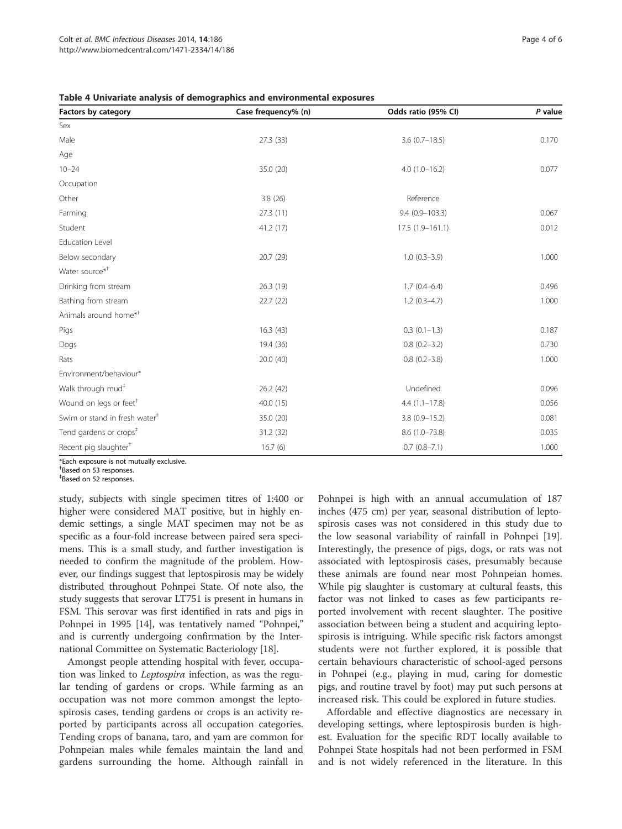| Factors by category                       | Case frequency% (n) | Odds ratio (95% CI) | P value |
|-------------------------------------------|---------------------|---------------------|---------|
| Sex                                       |                     |                     |         |
| Male                                      | 27.3 (33)           | $3.6(0.7-18.5)$     | 0.170   |
| Age                                       |                     |                     |         |
| $10 - 24$                                 | 35.0 (20)           | $4.0(1.0-16.2)$     | 0.077   |
| Occupation                                |                     |                     |         |
| Other                                     | 3.8(26)             | Reference           |         |
| Farming                                   | 27.3(11)            | $9.4(0.9 - 103.3)$  | 0.067   |
| Student                                   | 41.2 (17)           | $17.5(1.9-161.1)$   | 0.012   |
| Education Level                           |                     |                     |         |
| Below secondary                           | 20.7 (29)           | $1.0(0.3-3.9)$      | 1.000   |
| Water source* <sup>†</sup>                |                     |                     |         |
| Drinking from stream                      | 26.3 (19)           | $1.7(0.4-6.4)$      | 0.496   |
| Bathing from stream                       | 22.7 (22)           | $1.2(0.3-4.7)$      | 1.000   |
| Animals around home* <sup>†</sup>         |                     |                     |         |
| Pigs                                      | 16.3(43)            | $0.3(0.1-1.3)$      | 0.187   |
| Dogs                                      | 19.4 (36)           | $0.8(0.2 - 3.2)$    | 0.730   |
| Rats                                      | 20.0 (40)           | $0.8(0.2 - 3.8)$    | 1.000   |
| Environment/behaviour*                    |                     |                     |         |
| Walk through mud <sup>#</sup>             | 26.2 (42)           | Undefined           | 0.096   |
| Wound on legs or feet <sup>†</sup>        | 40.0 (15)           | $4.4(1.1-17.8)$     | 0.056   |
| Swim or stand in fresh water <sup>#</sup> | 35.0 (20)           | $3.8(0.9 - 15.2)$   | 0.081   |
| Tend gardens or crops <sup>#</sup>        | 31.2 (32)           | $8.6(1.0-73.8)$     | 0.035   |
| Recent pig slaughter <sup>†</sup>         | 16.7(6)             | $0.7(0.8 - 7.1)$    | 1.000   |

Table 4 Univariate analysis of demographics and environmental exposures

\*Each exposure is not mutually exclusive.

† Based on 53 responses.

‡ Based on 52 responses.

study, subjects with single specimen titres of 1:400 or higher were considered MAT positive, but in highly endemic settings, a single MAT specimen may not be as specific as a four-fold increase between paired sera specimens. This is a small study, and further investigation is needed to confirm the magnitude of the problem. However, our findings suggest that leptospirosis may be widely distributed throughout Pohnpei State. Of note also, the study suggests that serovar LT751 is present in humans in FSM. This serovar was first identified in rats and pigs in Pohnpei in 1995 [14], was tentatively named "Pohnpei," and is currently undergoing confirmation by the International Committee on Systematic Bacteriology [18].

Amongst people attending hospital with fever, occupation was linked to Leptospira infection, as was the regular tending of gardens or crops. While farming as an occupation was not more common amongst the leptospirosis cases, tending gardens or crops is an activity reported by participants across all occupation categories. Tending crops of banana, taro, and yam are common for Pohnpeian males while females maintain the land and gardens surrounding the home. Although rainfall in

Pohnpei is high with an annual accumulation of 187 inches (475 cm) per year, seasonal distribution of leptospirosis cases was not considered in this study due to the low seasonal variability of rainfall in Pohnpei [19]. Interestingly, the presence of pigs, dogs, or rats was not associated with leptospirosis cases, presumably because these animals are found near most Pohnpeian homes. While pig slaughter is customary at cultural feasts, this factor was not linked to cases as few participants reported involvement with recent slaughter. The positive association between being a student and acquiring leptospirosis is intriguing. While specific risk factors amongst students were not further explored, it is possible that certain behaviours characteristic of school-aged persons in Pohnpei (e.g., playing in mud, caring for domestic pigs, and routine travel by foot) may put such persons at increased risk. This could be explored in future studies.

Affordable and effective diagnostics are necessary in developing settings, where leptospirosis burden is highest. Evaluation for the specific RDT locally available to Pohnpei State hospitals had not been performed in FSM and is not widely referenced in the literature. In this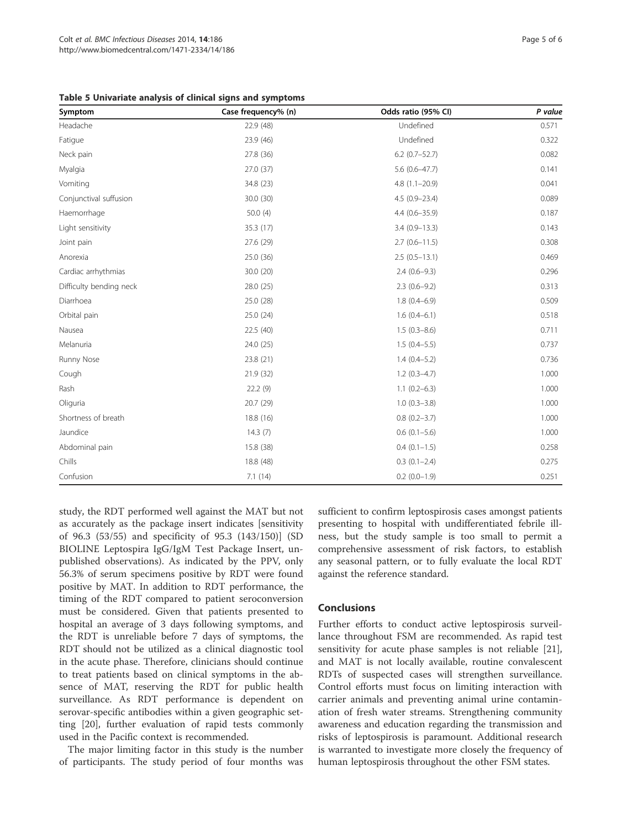| Table 5 Univariate analysis of clinical signs and symptoms |  |  |  |
|------------------------------------------------------------|--|--|--|
|------------------------------------------------------------|--|--|--|

| Symptom                 | Case frequency% (n) | Odds ratio (95% CI) | P value |
|-------------------------|---------------------|---------------------|---------|
| Headache                | 22.9 (48)           | Undefined           | 0.571   |
| Fatigue                 | 23.9 (46)           | Undefined           | 0.322   |
| Neck pain               | 27.8 (36)           | $6.2$ (0.7-52.7)    | 0.082   |
| Myalgia                 | 27.0 (37)           | $5.6(0.6-47.7)$     | 0.141   |
| Vomiting                | 34.8 (23)           | $4.8(1.1 - 20.9)$   | 0.041   |
| Conjunctival suffusion  | 30.0 (30)           | 4.5 (0.9-23.4)      | 0.089   |
| Haemorrhage             | 50.0(4)             | $4.4(0.6 - 35.9)$   | 0.187   |
| Light sensitivity       | 35.3 (17)           | $3.4(0.9 - 13.3)$   | 0.143   |
| Joint pain              | 27.6 (29)           | $2.7(0.6 - 11.5)$   | 0.308   |
| Anorexia                | 25.0 (36)           | $2.5(0.5-13.1)$     | 0.469   |
| Cardiac arrhythmias     | 30.0 (20)           | $2.4(0.6-9.3)$      | 0.296   |
| Difficulty bending neck | 28.0 (25)           | $2.3(0.6-9.2)$      | 0.313   |
| Diarrhoea               | 25.0 (28)           | $1.8(0.4-6.9)$      | 0.509   |
| Orbital pain            | 25.0 (24)           | $1.6(0.4-6.1)$      | 0.518   |
| Nausea                  | 22.5 (40)           | $1.5(0.3-8.6)$      | 0.711   |
| Melanuria               | 24.0 (25)           | $1.5(0.4-5.5)$      | 0.737   |
| Runny Nose              | 23.8 (21)           | $1.4(0.4-5.2)$      | 0.736   |
| Cough                   | 21.9 (32)           | $1.2(0.3-4.7)$      | 1.000   |
| Rash                    | 22.2(9)             | $1.1(0.2-6.3)$      | 1.000   |
| Oliguria                | 20.7 (29)           | $1.0(0.3-3.8)$      | 1.000   |
| Shortness of breath     | 18.8 (16)           | $0.8(0.2 - 3.7)$    | 1.000   |
| Jaundice                | 14.3(7)             | $0.6(0.1-5.6)$      | 1.000   |
| Abdominal pain          | 15.8 (38)           | $0.4(0.1-1.5)$      | 0.258   |
| Chills                  | 18.8 (48)           | $0.3(0.1 - 2.4)$    | 0.275   |
| Confusion               | 7.1(14)             | $0.2$ $(0.0-1.9)$   | 0.251   |

study, the RDT performed well against the MAT but not as accurately as the package insert indicates [sensitivity of 96.3 (53/55) and specificity of 95.3 (143/150)] (SD BIOLINE Leptospira IgG/IgM Test Package Insert, unpublished observations). As indicated by the PPV, only 56.3% of serum specimens positive by RDT were found positive by MAT. In addition to RDT performance, the timing of the RDT compared to patient seroconversion must be considered. Given that patients presented to hospital an average of 3 days following symptoms, and the RDT is unreliable before 7 days of symptoms, the RDT should not be utilized as a clinical diagnostic tool in the acute phase. Therefore, clinicians should continue to treat patients based on clinical symptoms in the absence of MAT, reserving the RDT for public health surveillance. As RDT performance is dependent on serovar-specific antibodies within a given geographic setting [20], further evaluation of rapid tests commonly used in the Pacific context is recommended.

The major limiting factor in this study is the number of participants. The study period of four months was

sufficient to confirm leptospirosis cases amongst patients presenting to hospital with undifferentiated febrile illness, but the study sample is too small to permit a comprehensive assessment of risk factors, to establish any seasonal pattern, or to fully evaluate the local RDT against the reference standard.

#### Conclusions

Further efforts to conduct active leptospirosis surveillance throughout FSM are recommended. As rapid test sensitivity for acute phase samples is not reliable [21], and MAT is not locally available, routine convalescent RDTs of suspected cases will strengthen surveillance. Control efforts must focus on limiting interaction with carrier animals and preventing animal urine contamination of fresh water streams. Strengthening community awareness and education regarding the transmission and risks of leptospirosis is paramount. Additional research is warranted to investigate more closely the frequency of human leptospirosis throughout the other FSM states.